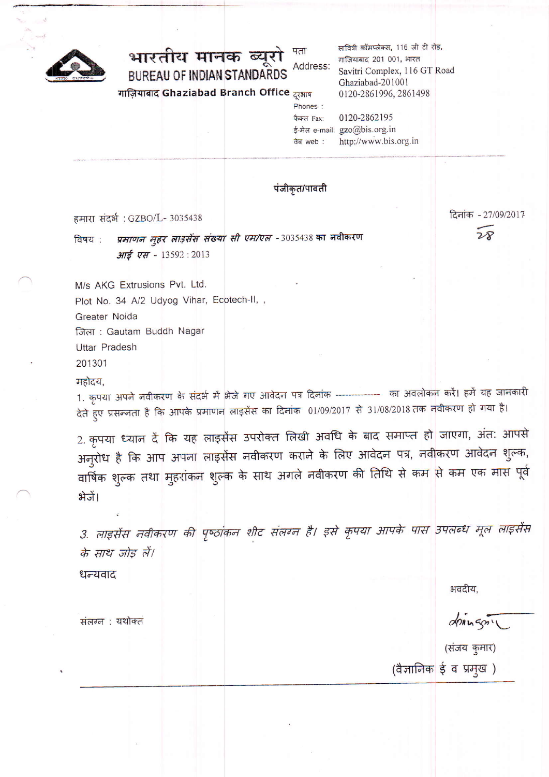

#### भारतीय मानक ब्यूरो पता Address: **BUREAU OF INDIAN STANDARDS**

गाजियाबाद Ghaziabad Branch Office दुरभाष

सावित्री कॉमप्लेक्स, 116 जी टी रोड, गाज़ियाबाद 201 001, भारत Savitri Complex, 116 GT Road Ghaziabad-201001 0120-2861996, 2861498 0120-2862195

फैक्स Fax: ई-मेल e-mail: gzo@bis.org.in http://www.bis.org.in <u>वेब web:</u>

पंजीकृत/पावती

Phones:

हमारा संदर्भ: GZBO/L- 3035438

प्रमाणन मुहर लाइसेंस संख्या सी एम/एल -3035438 का नवीकरण विषय : आई एस - 13592:2013

दिनांक - 27/09/2017  $28$ 

M/s AKG Extrusions Pvt. Ltd. Plot No. 34 A/2 Udyog Vihar, Ecotech-II, ,

Greater Noida

जिला: Gautam Buddh Nagar

**Uttar Pradesh** 

201301

महोदय.

1. कृपया अपने नवीकरण के संदर्भ में भेजे गए आवेदन पत्र दिनांक ------------- का अवलोकन करें। हमें यह जानकारी देते हुए प्रसन्नता है कि आपके प्रमाणन लाइसेंस का दिनांक 01/09/2017 से 31/08/2018 तक नवीकरण हो गया है।

2. कृपया ध्यान दें कि यह लाइसेंस उपरोक्त लिखी अवधि के बाद समाप्त हो जाएगा, अंत: आपसे अनुरोध है कि आप अपना लाइसेंस नवीकरण कराने के लिए आवेदन पत्र, नवीकरण आवेदन शुल्क, वार्षिक शुल्क तथा मुहरांकन शुल्क के साथ अगले नवीकरण की तिथि से कम से कम एक मास पूर्व भेजें।

3. लाइसेंस नवीकरण की पृष्ठांकन शीट संलग्न है। इसे कृपया आपके पास उपलब्ध मूल लाइसेंस के साथ जोड़ लें।

धन्यवाद

भवदीय.

(संजय कुमार)

 $\alpha$ 

(वैज्ञानिक ई व प्रमुख)

संलग्न : यथोक्त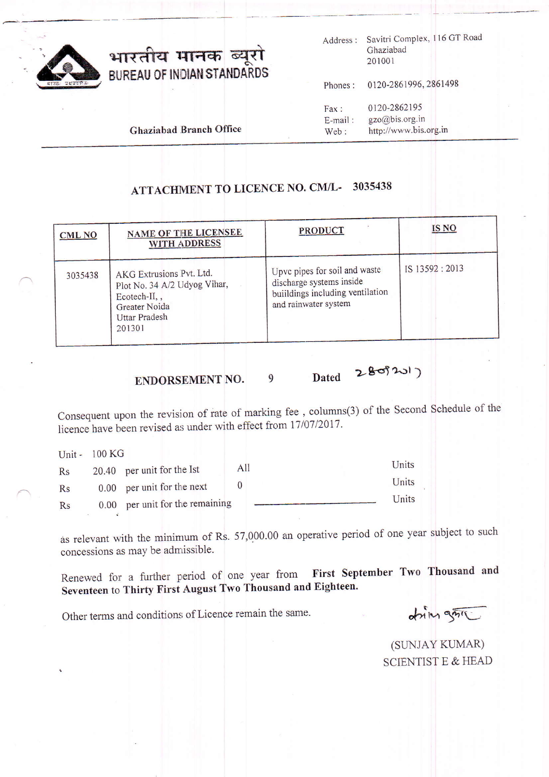

# भारतीय मानक ब्यूरो<br>BUREAU OF INDIAN STANDARDS

Address : Savitri Complex, 116 GT Road Ghaziabad 201001

Phones: 0120-2861996, 2861498

Fax: 0120-2862195<br>E-mail: gzo@bis.org.in E-mail: gzo@bis.org.in<br>Web: http://www.bis. http://www.bis.org.in

Ghaziabad Branch Office

#### ATTACHMENT TO LICENCE NO. CM/L- 3035438

| CML <sub>NO</sub> | <b>NAME OF THE LICENSEE</b><br><b>WITH ADDRESS</b>                                                                          | PRODUCT                                                                                                              | <b>IS NO</b>  |
|-------------------|-----------------------------------------------------------------------------------------------------------------------------|----------------------------------------------------------------------------------------------------------------------|---------------|
| 3035438           | AKG Extrusions Pvt. Ltd.<br>Plot No. 34 A/2 Udyog Vihar,<br>Ecotech-II,,<br>Greater Noida<br><b>Uttar Pradesh</b><br>201301 | Upvc pipes for soil and waste<br>discharge systems inside<br>buildings including ventilation<br>and rainwater system | IS 13592:2013 |

ENDORSEMENT NO.  $9$  Dated  $280320$ 

Consequent upon the revision of rate of marking fee, columns(3) of the Second Schedule of the licence have been revised as under with effect from 17/07/2017.

|    | Unit - 100 KG |                                 |     |       |
|----|---------------|---------------------------------|-----|-------|
| Rs |               | 20.40 per unit for the Ist      | All | Units |
| Rs |               | 0.00 per unit for the next      |     | Units |
| Rs |               | 0.00 per unit for the remaining |     | Units |

as relevant with the minimum of Rs. 57,000.00 an operative period of one year subject to such concessions as may be adnrissible.

Renewed for a further period of one year from First September Two Thousand and Seventeen to Thirty First August Two Thousand and Eighteen.

Other terms and conditions of Licence remain the same.

dring gril

(SUNJAY KUMAR) SCIENTIST E & HEAD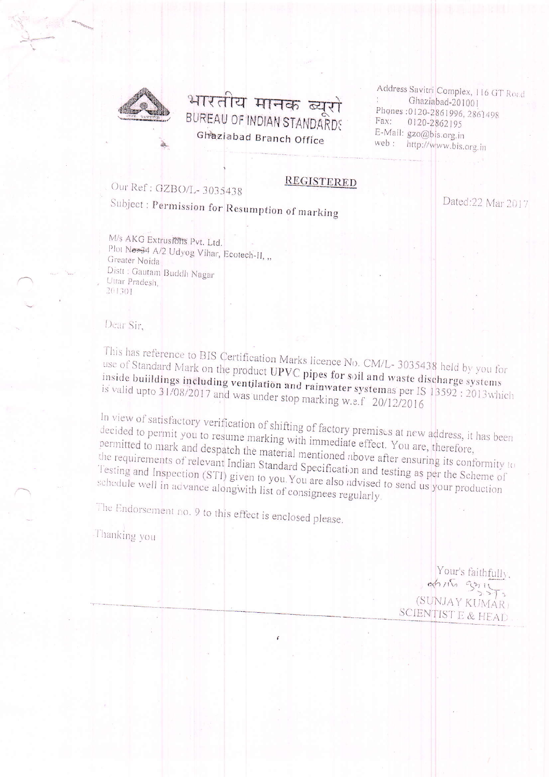

### भारतीय मानक ब्यूरो BUREAU OF INDIAN STANDARDS Ghaziabad Branch Office

Address Savitri Complex, 116 GT Road Ghaziabad-201001 Phones: 0120-2861996, 2861498 Fax: 0120-2862195 E-Mail: gzo@bis.org.in web: http://www.bis.org.in

### Our Ref: GZBO/L-3035438

## Subject: Permission for Resumption of marking

Dated:22 Mar 2017

M/s AKG Extrusions Pvt. Ltd. Plot No.34 A/2 Udyog Vihar, Ecotech-II, ,, Greater Noida Distt : Gautam Buddh Nagar Uttar Pradesh, 201301

Dear Sir,

This has reference to BIS Certification Marks licence No. CM/L-3035438 held by you for use of Standard Mark on the product UPVC pipes for soil and waste discharge systems inside buildings including ventilation and rainwater systemas per IS 13592 : 2013 which is valid upto 31/08/2017 and was under stop marking w.s.f 20/12/2016

**REGISTERED** 

In view of satisfactory verification of shifting of factory premises at new address, it has been decided to permit you to resume marking with immediate effect. You are, therefore, permitted to mark and despatch the material mentioned above after ensuring its conformity to the requirements of relevant Indian Standard Specification and testing as per the Scheme of Testing and Inspection (STI) given to you. You are also advised to send us your production schedule well in advance alongwith list of consignees regularly.

The Endorsement no. 9 to this effect is enclosed please.

Thanking you

Your's faithfully, (SUNJAY KUMÁR) SCIENTIST E & HEAD